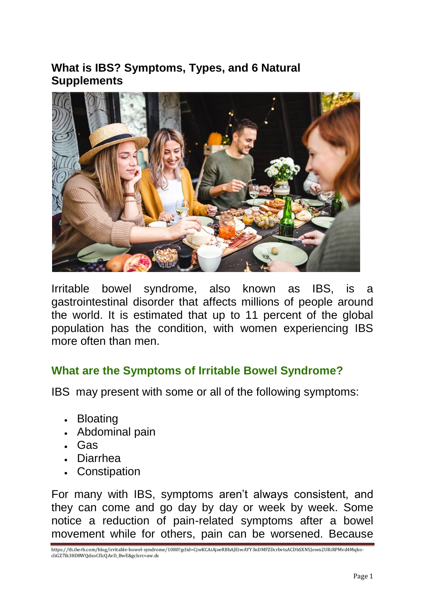## **What is IBS? Symptoms, Types, and 6 Natural Supplements**



Irritable bowel syndrome, also known as IBS, is a gastrointestinal disorder that affects millions of people around the world. It is estimated that up to 11 percent of the global population has the condition, with women experiencing IBS more often than men.

#### **What are the Symptoms of Irritable Bowel Syndrome?**

IBS may present with some or all of the following symptoms:

- Bloating
- Abdominal pain
- Gas
- Diarrhea
- Constipation

For many with IBS, symptoms aren't always consistent, and they can come and go day by day or week by week. Some notice a reduction of pain-related symptoms after a bowel movement while for others, pain can be worsened. Because

https://th.iherb.com/blog/irritable-bowel-syndrome/1080?gclid=CjwKCAiAjoeRBhAJEiwAYY3nDMFZDcrbvtsACDbSXN5Jown2URiRPMvd4MqkocliGZ7Ik38D8WQdxoCfIcQAvD\_BwE&gclsrc=aw.ds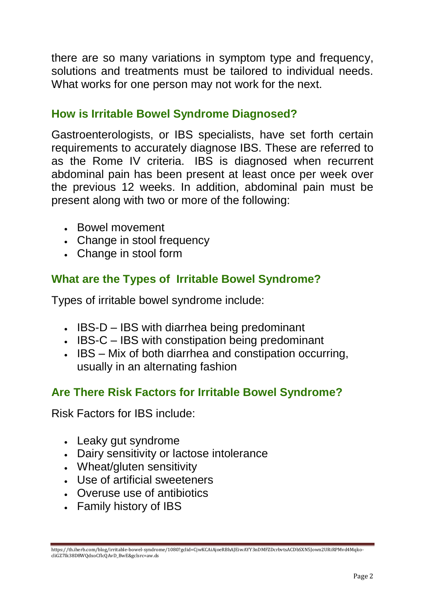there are so many variations in symptom type and frequency, solutions and treatments must be tailored to individual needs. What works for one person may not work for the next.

#### **How is Irritable Bowel Syndrome Diagnosed?**

Gastroenterologists, or IBS specialists, have set forth certain requirements to accurately diagnose IBS. These are referred to as the Rome IV criteria. IBS is diagnosed when recurrent abdominal pain has been present at least once per week over the previous 12 weeks. In addition, abdominal pain must be present along with two or more of the following:

- Bowel movement
- Change in stool frequency
- Change in stool form

## **What are the Types of Irritable Bowel Syndrome?**

Types of irritable bowel syndrome include:

- IBS-D IBS with diarrhea being predominant
- IBS-C IBS with constipation being predominant
- IBS Mix of both diarrhea and constipation occurring, usually in an alternating fashion

#### **Are There Risk Factors for Irritable Bowel Syndrome?**

Risk Factors for IBS include:

- Leaky gut syndrome
- Dairy sensitivity or lactose intolerance
- Wheat/gluten sensitivity
- Use of artificial sweeteners
- Overuse use of antibiotics
- Family history of IBS

https://th.iherb.com/blog/irritable-bowel-syndrome/1080?gclid=CjwKCAiAjoeRBhAJEiwAYY3nDMFZDcrbvtsACDbSXN5Jown2URiRPMvd4MqkocliGZ7Ik38D8WQdxoCfIcQAvD\_BwE&gclsrc=aw.ds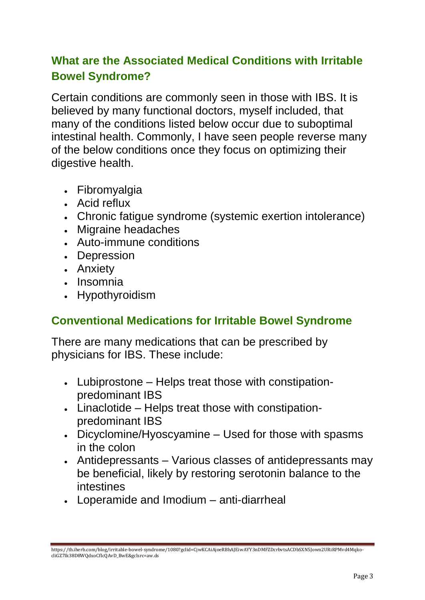# **What are the Associated Medical Conditions with Irritable Bowel Syndrome?**

Certain conditions are commonly seen in those with IBS. It is believed by many functional doctors, myself included, that many of the conditions listed below occur due to suboptimal intestinal health. Commonly, I have seen people reverse many of the below conditions once they focus on optimizing their digestive health.

- Fibromyalgia
- Acid reflux
- Chronic fatigue syndrome (systemic exertion intolerance)
- Migraine headaches
- Auto-immune conditions
- Depression
- Anxiety
- Insomnia
- Hypothyroidism

#### **Conventional Medications for Irritable Bowel Syndrome**

There are many medications that can be prescribed by physicians for IBS. These include:

- Lubiprostone Helps treat those with constipationpredominant IBS
- Linaclotide Helps treat those with constipationpredominant IBS
- Dicyclomine/Hyoscyamine Used for those with spasms in the colon
- Antidepressants Various classes of antidepressants may be beneficial, likely by restoring serotonin balance to the intestines
- Loperamide and Imodium anti-diarrheal

https://th.iherb.com/blog/irritable-bowel-syndrome/1080?gclid=CjwKCAiAjoeRBhAJEiwAYY3nDMFZDcrbvtsACDbSXN5Jown2URiRPMvd4MqkocliGZ7Ik38D8WQdxoCfIcQAvD\_BwE&gclsrc=aw.ds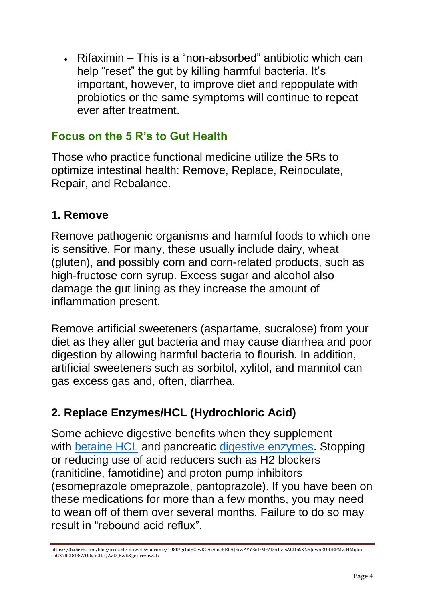Rifaximin – This is a "non-absorbed" antibiotic which can help "reset" the gut by killing harmful bacteria. It's important, however, to improve diet and repopulate with probiotics or the same symptoms will continue to repeat ever after treatment.

#### **Focus on the 5 R's to Gut Health**

Those who practice functional medicine utilize the 5Rs to optimize intestinal health: Remove, Replace, Reinoculate, Repair, and Rebalance.

#### **1. Remove**

Remove pathogenic organisms and harmful foods to which one is sensitive. For many, these usually include dairy, wheat (gluten), and possibly corn and corn-related products, such as high-fructose corn syrup. Excess sugar and alcohol also damage the gut lining as they increase the amount of inflammation present.

Remove artificial sweeteners (aspartame, sucralose) from your diet as they alter gut bacteria and may cause diarrhea and poor digestion by allowing harmful bacteria to flourish. In addition, artificial sweeteners such as sorbitol, xylitol, and mannitol can gas excess gas and, often, diarrhea.

## **2. Replace Enzymes/HCL (Hydrochloric Acid)**

Some achieve digestive benefits when they supplement with [betaine HCL](https://www.iherb.com/c/betaine-hcl-tmg) and pancreatic [digestive enzymes.](https://www.iherb.com/c/digestive-enzymes) Stopping or reducing use of acid reducers such as H2 blockers (ranitidine, famotidine) and proton pump inhibitors (esomeprazole omeprazole, pantoprazole). If you have been on these medications for more than a few months, you may need to wean off of them over several months. Failure to do so may result in "rebound acid reflux".

https://th.iherb.com/blog/irritable-bowel-syndrome/1080?gclid=CjwKCAiAjoeRBhAJEiwAYY3nDMFZDcrbvtsACDbSXN5Jown2URiRPMvd4MqkocliGZ7Ik38D8WQdxoCfIcQAvD\_BwE&gclsrc=aw.ds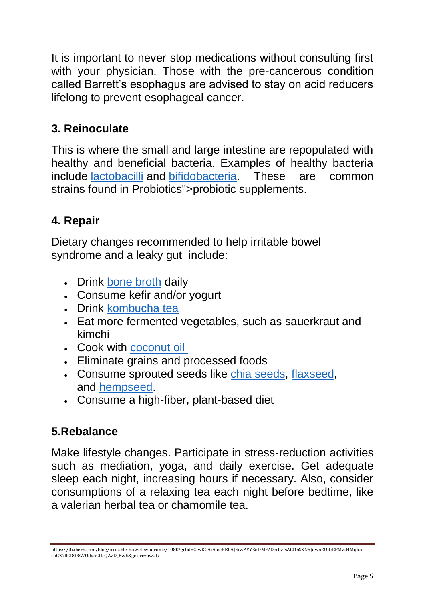It is important to never stop medications without consulting first with your physician. Those with the pre-cancerous condition called Barrett's esophagus are advised to stay on acid reducers lifelong to prevent esophageal cancer.

## **3. Reinoculate**

This is where the small and large intestine are repopulated with healthy and beneficial bacteria. Examples of healthy bacteria include [lactobacilli](https://www.iherb.com/c/Lactobacillus) and [bifidobacteria.](https://www.iherb.com/c/Bifidus) These are common strains found in Probiotics">probiotic supplements.

# **4. Repair**

Dietary changes recommended to help irritable bowel syndrome and a leaky gut include:

- Drink [bone broth](https://www.iherb.com/c/bone-broth) daily
- Consume kefir and/or yogurt
- Drink [kombucha tea](https://www.iherb.com/c/kombucha-tea)
- Eat more fermented vegetables, such as sauerkraut and kimchi
- Cook with [coconut oil](https://www.iherb.com/c/coconut-oil)
- Eliminate grains and processed foods
- Consume sprouted seeds like [chia seeds,](https://www.iherb.com/c/chia-seeds) [flaxseed,](https://www.iherb.com/c/flax-seeds) and [hempseed.](https://www.iherb.com/c/hemp-seeds)
- Consume a high-fiber, plant-based diet

## **5.Rebalance**

Make lifestyle changes. Participate in stress-reduction activities such as mediation, yoga, and daily exercise. Get adequate sleep each night, increasing hours if necessary. Also, consider consumptions of a relaxing tea each night before bedtime, like a valerian herbal tea or chamomile tea.

https://th.iherb.com/blog/irritable-bowel-syndrome/1080?gclid=CjwKCAiAjoeRBhAJEiwAYY3nDMFZDcrbvtsACDbSXN5Jown2URiRPMvd4MqkocliGZ7Ik38D8WQdxoCfIcQAvD\_BwE&gclsrc=aw.ds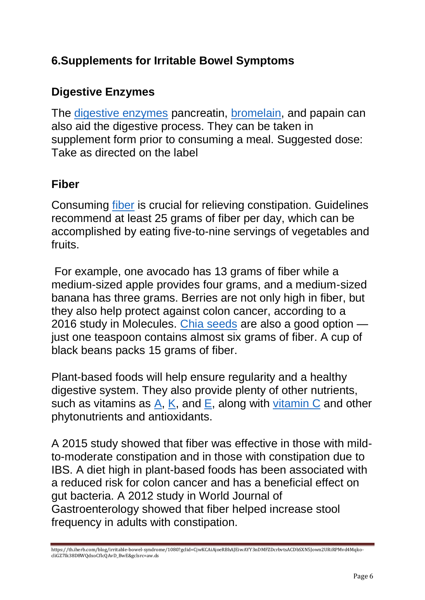## **6.Supplements for Irritable Bowel Symptoms**

## **Digestive Enzymes**

The [digestive enzymes](https://www.iherb.com/c/digestive-enzymes) pancreatin, [bromelain,](https://www.iherb.com/c/bromelain) and papain can also aid the digestive process. They can be taken in supplement form prior to consuming a meal. Suggested dose: Take as directed on the label

## **Fiber**

Consuming [fiber](https://www.iherb.com/c/fiber) is crucial for relieving constipation. Guidelines recommend at least 25 grams of fiber per day, which can be accomplished by eating five-to-nine servings of vegetables and fruits.

For example, one avocado has 13 grams of fiber while a medium-sized apple provides four grams, and a medium-sized banana has three grams. Berries are not only high in fiber, but they also help protect against colon cancer, according to a 2016 study in Molecules. [Chia seeds](https://www.iherb.com/c/chia-seeds) are also a good option just one teaspoon contains almost six grams of fiber. A cup of black beans packs 15 grams of fiber.

Plant-based foods will help ensure regularity and a healthy digestive system. They also provide plenty of other nutrients, such as vitamins as  $A$ ,  $K$ , and  $E$ , along with [vitamin C](https://www.iherb.com/c/vitamin-c) and other phytonutrients and antioxidants.

A 2015 study showed that fiber was effective in those with mildto-moderate constipation and in those with constipation due to IBS. A diet high in plant-based foods has been associated with a reduced risk for colon cancer and has a beneficial effect on gut bacteria. A 2012 study in World Journal of Gastroenterology showed that fiber helped increase stool frequency in adults with constipation.

https://th.iherb.com/blog/irritable-bowel-syndrome/1080?gclid=CjwKCAiAjoeRBhAJEiwAYY3nDMFZDcrbvtsACDbSXN5Jown2URiRPMvd4MqkocliGZ7Ik38D8WQdxoCfIcQAvD\_BwE&gclsrc=aw.ds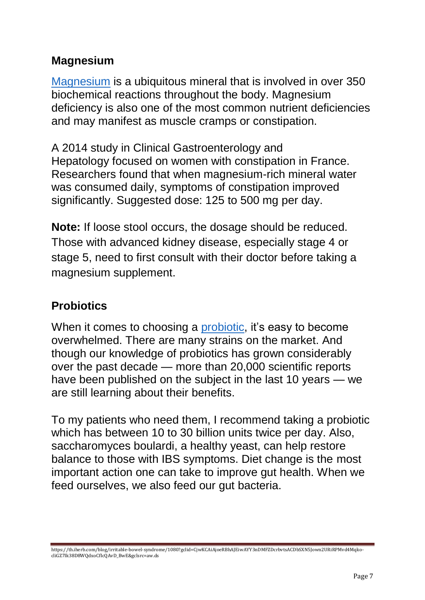## **Magnesium**

[Magnesium](https://www.iherb.com/c/magnesium) is a ubiquitous mineral that is involved in over 350 biochemical reactions throughout the body. Magnesium deficiency is also one of the most common nutrient deficiencies and may manifest as muscle cramps or constipation.

A 2014 study in Clinical Gastroenterology and Hepatology focused on women with constipation in France. Researchers found that when magnesium-rich mineral water was consumed daily, symptoms of constipation improved significantly. Suggested dose: 125 to 500 mg per day.

**Note:** If loose stool occurs, the dosage should be reduced. Those with advanced kidney disease, especially stage 4 or stage 5, need to first consult with their doctor before taking a magnesium supplement.

## **Probiotics**

When it comes to choosing a [probiotic,](https://www.iherb.com/c/Probiotics) it's easy to become overwhelmed. There are many strains on the market. And though our knowledge of probiotics has grown considerably over the past decade — more than 20,000 scientific reports have been published on the subject in the last 10 years — we are still learning about their benefits.

To my patients who need them, I recommend taking a probiotic which has between 10 to 30 billion units twice per day. Also, saccharomyces boulardi, a healthy yeast, can help restore balance to those with IBS symptoms. Diet change is the most important action one can take to improve gut health. When we feed ourselves, we also feed our gut bacteria.

https://th.iherb.com/blog/irritable-bowel-syndrome/1080?gclid=CjwKCAiAjoeRBhAJEiwAYY3nDMFZDcrbvtsACDbSXN5Jown2URiRPMvd4MqkocliGZ7Ik38D8WQdxoCfIcQAvD\_BwE&gclsrc=aw.ds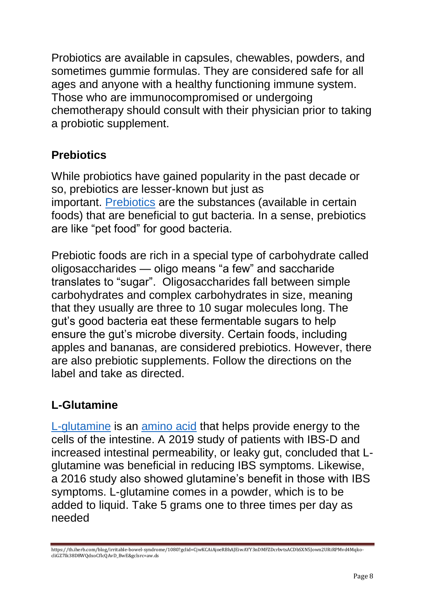Probiotics are available in capsules, chewables, powders, and sometimes gummie formulas. They are considered safe for all ages and anyone with a healthy functioning immune system. Those who are immunocompromised or undergoing chemotherapy should consult with their physician prior to taking a probiotic supplement.

## **Prebiotics**

While probiotics have gained popularity in the past decade or so, prebiotics are lesser-known but just as important. [Prebiotics](https://www.iherb.com/c/Prebiotics) are the substances (available in certain foods) that are beneficial to gut bacteria. In a sense, prebiotics are like "pet food" for good bacteria.

Prebiotic foods are rich in a special type of carbohydrate called oligosaccharides — oligo means "a few" and saccharide translates to "sugar". Oligosaccharides fall between simple carbohydrates and complex carbohydrates in size, meaning that they usually are three to 10 sugar molecules long. The gut's good bacteria eat these fermentable sugars to help ensure the gut's microbe diversity. Certain foods, including apples and bananas, are considered prebiotics. However, there are also prebiotic supplements. Follow the directions on the label and take as directed.

## **L-Glutamine**

[L-glutamine](https://www.iherb.com/c/L-Glutamine) is an [amino acid](https://www.iherb.com/c/amino-acids) that helps provide energy to the cells of the intestine. A 2019 study of patients with IBS-D and increased intestinal permeability, or leaky gut, concluded that Lglutamine was beneficial in reducing IBS symptoms. Likewise, a 2016 study also showed glutamine's benefit in those with IBS symptoms. L-glutamine comes in a powder, which is to be added to liquid. Take 5 grams one to three times per day as needed

https://th.iherb.com/blog/irritable-bowel-syndrome/1080?gclid=CjwKCAiAjoeRBhAJEiwAYY3nDMFZDcrbvtsACDbSXN5Jown2URiRPMvd4MqkocliGZ7Ik38D8WQdxoCfIcQAvD\_BwE&gclsrc=aw.ds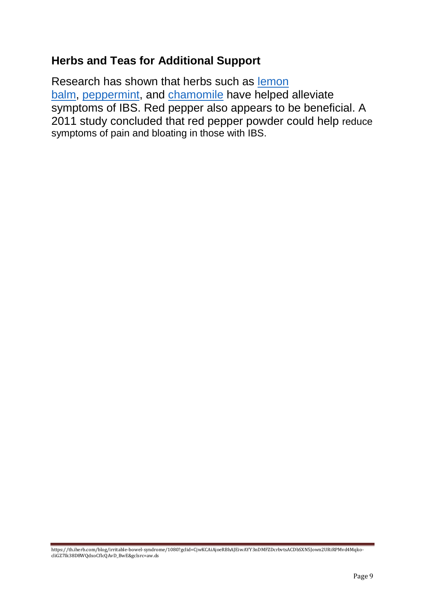### **Herbs and Teas for Additional Support**

Research has shown that herbs such as [lemon](https://www.iherb.com/c/lemon-balm-melissa)  [balm,](https://www.iherb.com/c/lemon-balm-melissa) [peppermint,](https://www.iherb.com/c/peppermint) and [chamomile](https://www.iherb.com/c/chamomile) have helped alleviate symptoms of IBS. Red pepper also appears to be beneficial. A 2011 study concluded that red pepper powder could help reduce symptoms of pain and bloating in those with IBS.

https://th.iherb.com/blog/irritable-bowel-syndrome/1080?gclid=CjwKCAiAjoeRBhAJEiwAYY3nDMFZDcrbvtsACDbSXN5Jown2URiRPMvd4MqkocliGZ7Ik38D8WQdxoCfIcQAvD\_BwE&gclsrc=aw.ds